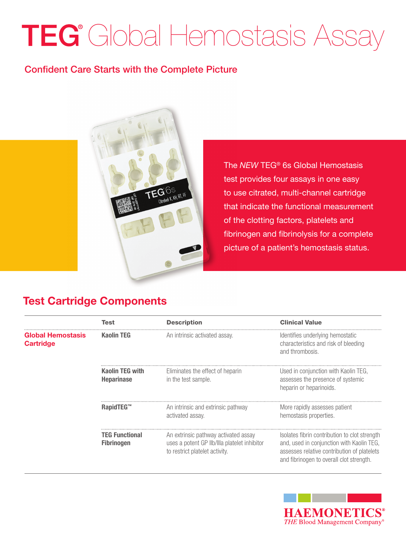## TEG<sup>®</sup> Global Hemostasis Assay

## Confident Care Starts with the Complete Picture



The *NEW* TEG® 6s Global Hemostasis test provides four assays in one easy to use citrated, multi-channel cartridge that indicate the functional measurement of the clotting factors, platelets and fibrinogen and fibrinolysis for a complete picture of a patient's hemostasis status.

## Test Cartridge Components

j

|                                              | Test                                       | <b>Description</b>                                                                                                     | <b>Clinical Value</b>                                                                                                                                                                 |
|----------------------------------------------|--------------------------------------------|------------------------------------------------------------------------------------------------------------------------|---------------------------------------------------------------------------------------------------------------------------------------------------------------------------------------|
| <b>Global Hemostasis</b><br><b>Cartridge</b> | <b>Kaolin TEG</b>                          | An intrinsic activated assay.                                                                                          | Identifies underlying hemostatic<br>characteristics and risk of bleeding<br>and thrombosis.                                                                                           |
|                                              | Kaolin TEG with<br><b>Heparinase</b>       | Eliminates the effect of heparin<br>in the test sample.                                                                | Used in conjunction with Kaolin TEG.<br>assesses the presence of systemic<br>heparin or heparinoids.                                                                                  |
|                                              | RapidTEG™                                  | An intrinsic and extrinsic pathway<br>activated assay.                                                                 | More rapidly assesses patient<br>hemostasis properties.                                                                                                                               |
|                                              | <b>TEG Functional</b><br><b>Fibrinogen</b> | An extrinsic pathway activated assay<br>uses a potent GP IIb/IIIa platelet inhibitor<br>to restrict platelet activity. | Isolates fibrin contribution to clot strength<br>and, used in conjunction with Kaolin TEG,<br>assesses relative contribution of platelets<br>and fibrinogen to overall clot strength. |